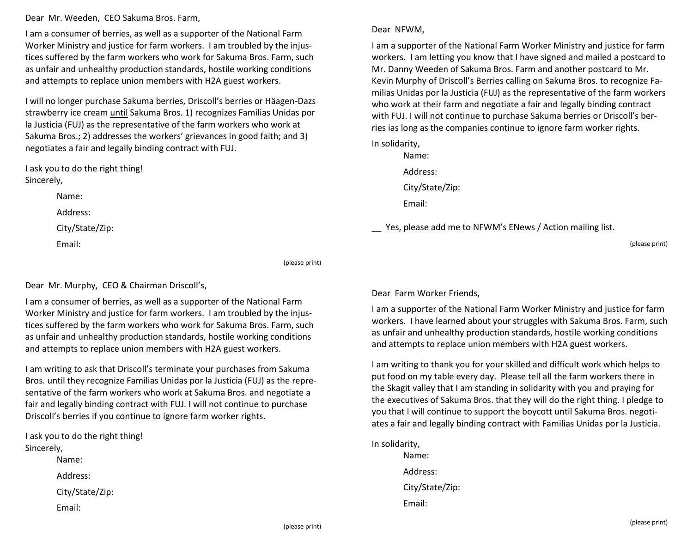Dear Mr. Weeden, CEO Sakuma Bros. Farm,

I am a consumer of berries, as well as a supporter of the National Farm Worker Ministry and justice for farm workers. I am troubled by the injustices suffered by the farm workers who work for Sakuma Bros. Farm, such as unfair and unhealthy production standards, hostile working conditions and attempts to replace union members with H2A guest workers.

I will no longer purchase Sakuma berries, Driscoll's berries or Häagen-Dazs strawberry ice cream until Sakuma Bros. 1) recognizes Familias Unidas por la Justicia (FUJ) as the representative of the farm workers who work at Sakuma Bros.; 2) addresses the workers' grievances in good faith; and 3) negotiates a fair and legally binding contract with FUJ.

I ask you to do the right thing! Sincerely,

> Name: Address:

City/State/Zip:

Email:

(please print)

Dear Mr. Murphy, CEO & Chairman Driscoll's,

I am a consumer of berries, as well as a supporter of the National Farm Worker Ministry and justice for farm workers. I am troubled by the injustices suffered by the farm workers who work for Sakuma Bros. Farm, such as unfair and unhealthy production standards, hostile working conditions and attempts to replace union members with H2A guest workers.

I am writing to ask that Driscoll's terminate your purchases from Sakuma Bros. until they recognize Familias Unidas por la Justicia (FUJ) as the representative of the farm workers who work at Sakuma Bros. and negotiate a fair and legally binding contract with FUJ. I will not continue to purchase Driscoll's berries if you continue to ignore farm worker rights.

I ask you to do the right thing! Sincerely,

> Name: Address:

City/State/Zip:

Email:

Dear NFWM,

I am a supporter of the National Farm Worker Ministry and justice for farm workers. I am letting you know that I have signed and mailed a postcard to Mr. Danny Weeden of Sakuma Bros. Farm and another postcard to Mr. Kevin Murphy of Driscoll's Berries calling on Sakuma Bros. to recognize Familias Unidas por la Justicia (FUJ) as the representative of the farm workers who work at their farm and negotiate a fair and legally binding contract with FUJ. I will not continue to purchase Sakuma berries or Driscoll's berries ias long as the companies continue to ignore farm worker rights.

In solidarity,

Name: Address: City/State/Zip: Email:

\_\_ Yes, please add me to NFWM's ENews / Action mailing list.

(please print)

## Dear Farm Worker Friends,

I am a supporter of the National Farm Worker Ministry and justice for farm workers. I have learned about your struggles with Sakuma Bros. Farm, such as unfair and unhealthy production standards, hostile working conditions and attempts to replace union members with H2A guest workers.

I am writing to thank you for your skilled and difficult work which helps to put food on my table every day. Please tell all the farm workers there in the Skagit valley that I am standing in solidarity with you and praying for the executives of Sakuma Bros. that they will do the right thing. I pledge to you that I will continue to support the boycott until Sakuma Bros. negotiates a fair and legally binding contract with Familias Unidas por la Justicia.

In solidarity, Name: Address: City/State/Zip: Email: